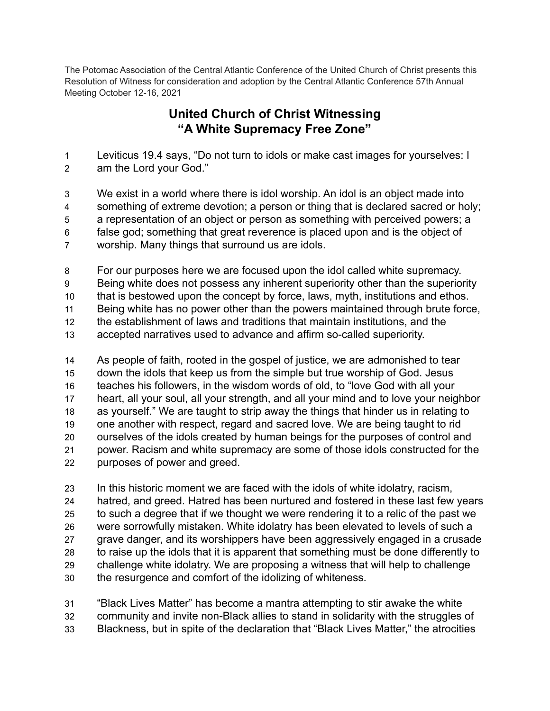The Potomac Association of the Central Atlantic Conference of the United Church of Christ presents this Resolution of Witness for consideration and adoption by the Central Atlantic Conference 57th Annual Meeting October 12-16, 2021

## **United Church of Christ Witnessing "A White Supremacy Free Zone"**

Leviticus 19.4 says, "Do not turn to idols or make cast images for yourselves: I

- am the Lord your God."
- We exist in a world where there is idol worship. An idol is an object made into something of extreme devotion; a person or thing that is declared sacred or holy; a representation of an object or person as something with perceived powers; a false god; something that great reverence is placed upon and is the object of worship. Many things that surround us are idols.

 For our purposes here we are focused upon the idol called white supremacy. Being white does not possess any inherent superiority other than the superiority that is bestowed upon the concept by force, laws, myth, institutions and ethos. Being white has no power other than the powers maintained through brute force, the establishment of laws and traditions that maintain institutions, and the accepted narratives used to advance and affirm so-called superiority.

 As people of faith, rooted in the gospel of justice, we are admonished to tear down the idols that keep us from the simple but true worship of God. Jesus teaches his followers, in the wisdom words of old, to "love God with all your heart, all your soul, all your strength, and all your mind and to love your neighbor as yourself." We are taught to strip away the things that hinder us in relating to one another with respect, regard and sacred love. We are being taught to rid ourselves of the idols created by human beings for the purposes of control and power. Racism and white supremacy are some of those idols constructed for the purposes of power and greed.

 In this historic moment we are faced with the idols of white idolatry, racism, hatred, and greed. Hatred has been nurtured and fostered in these last few years to such a degree that if we thought we were rendering it to a relic of the past we were sorrowfully mistaken. White idolatry has been elevated to levels of such a grave danger, and its worshippers have been aggressively engaged in a crusade to raise up the idols that it is apparent that something must be done differently to challenge white idolatry. We are proposing a witness that will help to challenge the resurgence and comfort of the idolizing of whiteness.

 "Black Lives Matter" has become a mantra attempting to stir awake the white community and invite non-Black allies to stand in solidarity with the struggles of Blackness, but in spite of the declaration that "Black Lives Matter," the atrocities